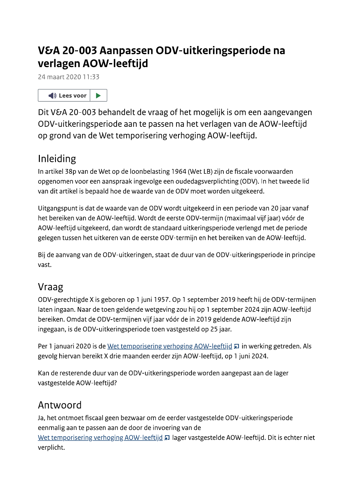# V&A 20-003 Aanpassen ODV-uitkeringsperiode na verlagen AOW-leeftijd

24 maart 2020 11:33



Dit V&A 20-003 behandelt de vraag of het mogelijk is om een aangevangen ODV-uitkeringsperiode aan te passen na het verlagen van de AOW-leeftijd op grond van de Wet temporisering verhoging AOW-leeftijd.

# Inleiding

In artikel 38p van de Wet op de loonbelasting 1964 (Wet LB) zijn de fiscale voorwaarden opgenomen voor een aanspraak ingevolge een oudedagsverplichting (ODV). In het tweede lid van dit artikel is bepaald hoe de waarde van de ODV moet worden uitgekeerd.

Uitgangspunt is dat de waarde van de ODV wordt uitgekeerd in een periode van 20 jaar vanaf het bereiken van de AOW-leeftijd. Wordt de eerste ODV-termijn (maximaal vijf jaar) vóór de AOW-leeftijd uitgekeerd, dan wordt de standaard uitkeringsperiode verlengd met de periode gelegen tussen het uitkeren van de eerste ODV-termijn en het bereiken van de AOW-leeftijd.

Bij de aanvang van de ODV-uitkeringen, staat de duur van de ODV-uitkeringsperiode in principe vast.

### Vraag

ODV-gerechtigde X is geboren op 1 juni 1957. Op 1 september 2019 heeft hij de ODV-termijnen laten ingaan. Naar de toen geldende wetgeving zou hij op 1 september 2024 zijn AOW-leeftijd bereiken. Omdat de ODV-termijnen vijf jaar vóór de in 2019 geldende AOW-leeftijd zijn ingegaan, is de ODV-uitkeringsperiode toen vastgesteld op 25 jaar.

Per 1 januari 2020 is de Wet temporisering verhoging AOW-leeftijd a in werking getreden. Als gevolg hiervan bereikt X drie maanden eerder zijn AOW-leeftijd, op 1 juni 2024.

Kan de resterende duur van de ODV-uitkeringsperiode worden aangepast aan de lager vastgestelde AOW-leeftijd?

### Antwoord

Ja, het ontmoet fiscaal geen bezwaar om de eerder vastgestelde ODV-uitkeringsperiode eenmalig aan te passen aan de door de invoering van de Wet temporisering verhoging AOW-leeftijd > lager vastgestelde AOW-leeftijd. Dit is echter niet verplicht.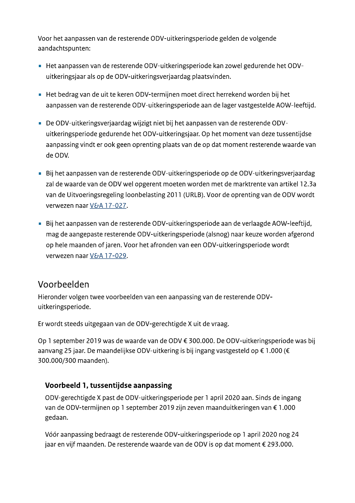Voor het aanpassen van de resterende ODV-uitkeringsperiode gelden de volgende aandachtspunten:

- Het aanpassen van de resterende ODV-uitkeringsperiode kan zowel gedurende het ODVuitkeringsjaar als op de ODV-uitkeringsverjaardag plaatsvinden.
- Het bedrag van de uit te keren ODV-termijnen moet direct herrekend worden bij het aanpassen van de resterende ODV-uitkeringsperiode aan de lager vastgestelde AOW-leeftijd.
- De ODV-uitkeringsverjaardag wijzigt niet bij het aanpassen van de resterende ODVuitkeringsperiode gedurende het ODV-uitkeringsjaar. Op het moment van deze tussentijdse aanpassing vindt er ook geen oprenting plaats van de op dat moment resterende waarde van de ODV.
- Bij het aanpassen van de resterende ODV-uitkeringsperiode op de ODV-uitkeringsverjaardag zal de waarde van de ODV wel opgerent moeten worden met de marktrente van artikel 12.3a van de Uitvoeringsregeling loonbelasting 2011 (URLB). Voor de oprenting van de ODV wordt verwezen naar V&A 17-027.
- Bij het aanpassen van de resterende ODV-uitkeringsperiode aan de verlaagde AOW-leeftijd, mag de aangepaste resterende ODV-uitkeringsperiode (alsnog) naar keuze worden afgerond op hele maanden of jaren. Voor het afronden van een ODV-uitkeringsperiode wordt verwezen naar V&A 17-029.

#### Voorbeelden

Hieronder volgen twee voorbeelden van een aanpassing van de resterende ODVuitkeringsperiode.

Er wordt steeds uitgegaan van de ODV-gerechtigde X uit de vraag.

Op 1 september 2019 was de waarde van de ODV € 300.000. De ODV-uitkeringsperiode was bij aanvang 25 jaar. De maandelijkse ODV-uitkering is bij ingang vastgesteld op € 1.000 (€ 300.000/300 maanden).

#### Voorbeeld 1, tussentijdse aanpassing

ODV-gerechtigde X past de ODV-uitkeringsperiode per 1 april 2020 aan. Sinds de ingang van de ODV-termijnen op 1 september 2019 zijn zeven maanduitkeringen van € 1.000 gedaan.

Vóór aanpassing bedraagt de resterende ODV-uitkeringsperiode op 1 april 2020 nog 24 jaar en vijf maanden. De resterende waarde van de ODV is op dat moment € 293.000.